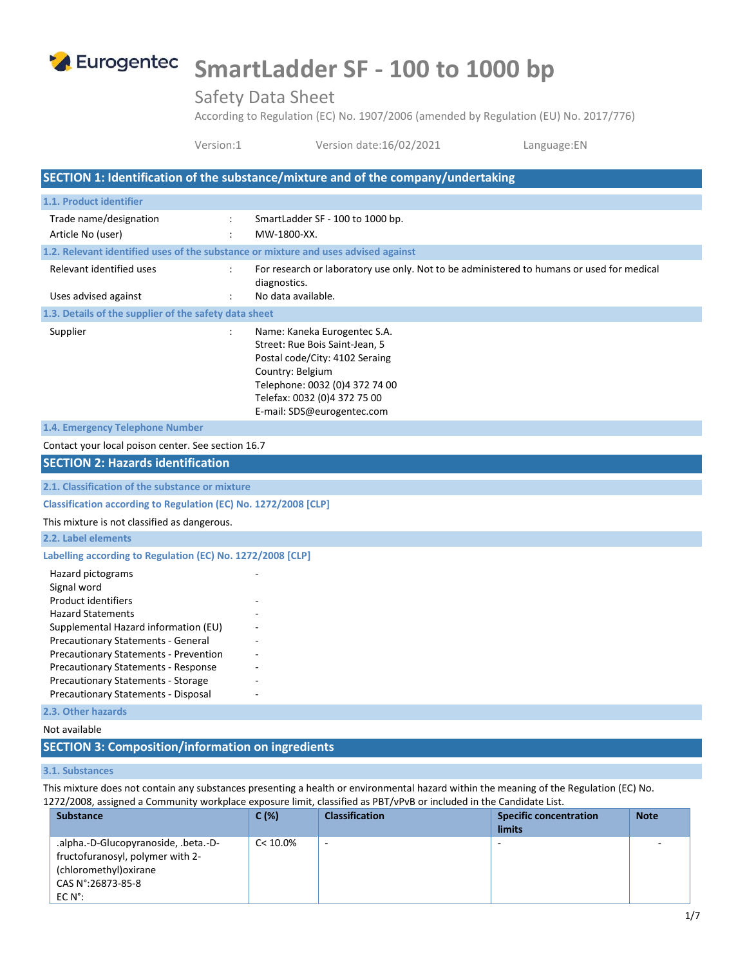

# **SmartLadder SF - 100 to 1000 bp**

Safety Data Sheet

According to Regulation (EC) No. 1907/2006 (amended by Regulation (EU) No. 2017/776)

Version:1 Version date:16/02/2021 Language:EN

# **SECTION 1: Identification of the substance/mixture and of the company/undertaking 1.1. Product identifier** Trade name/designation : SmartLadder SF - 100 to 1000 bp. Article No (user) The Contract of the MW-1800-XX. **1.2. Relevant identified uses of the substance or mixture and uses advised against** Relevant identified uses : For research or laboratory use only. Not to be administered to humans or used for medical diagnostics. Uses advised against **in the Contract Contract Contract** : No data available. **1.3. Details of the supplier of the safety data sheet** Supplier : Name: Kaneka Eurogentec S.A. Street: Rue Bois Saint-Jean, 5 Postal code/City: 4102 Seraing Country: Belgium Telephone: 0032 (0)4 372 74 00 Telefax: 0032 (0)4 372 75 00 E-mail: SDS@eurogentec.com **1.4. Emergency Telephone Number** Contact your local poison center. See section 16.7 **SECTION 2: Hazards identification 2.1. Classification of the substance or mixture Classification according to Regulation (EC) No. 1272/2008 [CLP]** This mixture is not classified as dangerous. **2.2. Label elements Labelling according to Regulation (EC) No. 1272/2008 [CLP]** Hazard pictograms Signal word Product identifiers Hazard Statements - Supplemental Hazard information (EU) - Precautionary Statements - General Precautionary Statements - Prevention Precautionary Statements - Response Precautionary Statements - Storage Precautionary Statements - Disposal **2.3. Other hazards** Not available

### **SECTION 3: Composition/information on ingredients**

#### **3.1. Substances**

This mixture does not contain any substances presenting a health or environmental hazard within the meaning of the Regulation (EC) No. 1272/2008, assigned a Community workplace exposure limit, classified as PBT/vPvB or included in the Candidate List.

| <b>Substance</b>                                                                                                                            | C(%)     | <b>Classification</b>    | <b>Specific concentration</b><br>limits | <b>Note</b> |
|---------------------------------------------------------------------------------------------------------------------------------------------|----------|--------------------------|-----------------------------------------|-------------|
| .alpha.-D-Glucopyranoside, .beta.-D-<br>fructofuranosyl, polymer with 2-<br>(chloromethyl) oxirane<br>CAS N°:26873-85-8<br>$EC N^{\circ}$ : | C< 10.0% | $\overline{\phantom{a}}$ |                                         |             |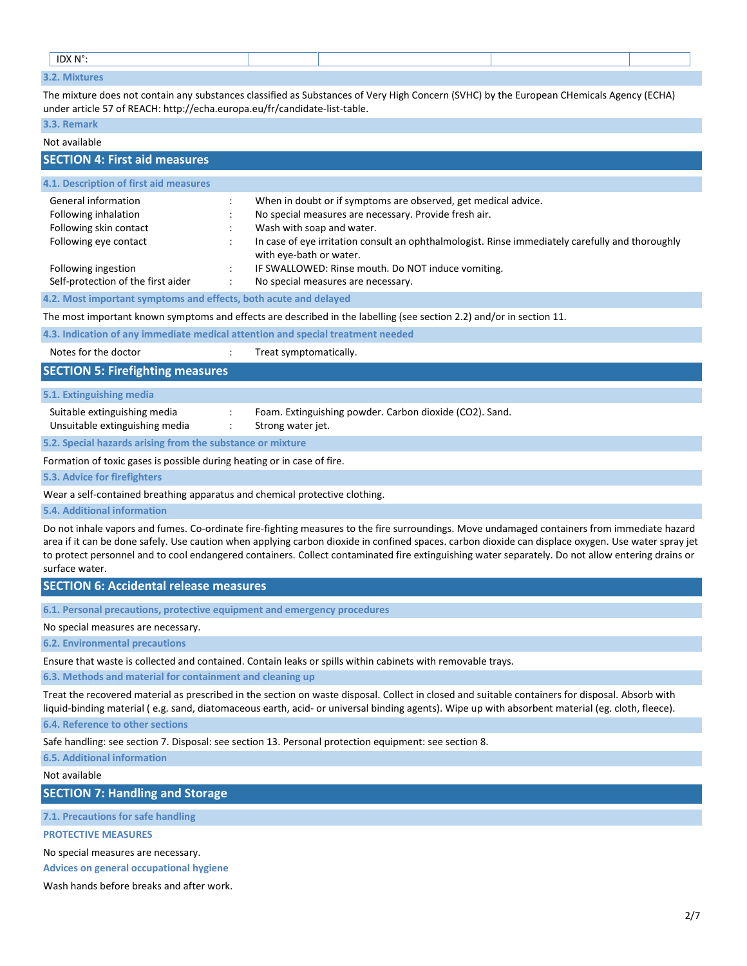| IDX N°:       |  |  |  |
|---------------|--|--|--|
| $\sim$ $\sim$ |  |  |  |

The mixture does not contain any substances classified as Substances of Very High Concern (SVHC) by the European CHemicals Agency (ECHA) under article 57 of REACH: http://echa.europa.eu/fr/candidate-list-table.

#### **3.3. Remark**

#### Not available

| <b>SECTION 4: First aid measures</b>                                                           |                                                                                                                                                                                                                                                                                     |
|------------------------------------------------------------------------------------------------|-------------------------------------------------------------------------------------------------------------------------------------------------------------------------------------------------------------------------------------------------------------------------------------|
| 4.1. Description of first aid measures                                                         |                                                                                                                                                                                                                                                                                     |
| General information<br>Following inhalation<br>Following skin contact<br>Following eye contact | When in doubt or if symptoms are observed, get medical advice.<br>No special measures are necessary. Provide fresh air.<br>Wash with soap and water.<br>In case of eye irritation consult an ophthalmologist. Rinse immediately carefully and thoroughly<br>with eye-bath or water. |
| Following ingestion<br>Self-protection of the first aider                                      | IF SWALLOWED: Rinse mouth. Do NOT induce vomiting.<br>No special measures are necessary.                                                                                                                                                                                            |
| 4.2. Most important symptoms and effects, both acute and delayed                               |                                                                                                                                                                                                                                                                                     |
|                                                                                                | The most important known symptoms and effects are described in the labelling (see section 2.2) and/or in section 11.                                                                                                                                                                |
|                                                                                                | 4.3. Indication of any immediate medical attention and special treatment needed                                                                                                                                                                                                     |
| Notes for the doctor                                                                           | Treat symptomatically.                                                                                                                                                                                                                                                              |
| <b>SECTION 5: Firefighting measures</b>                                                        |                                                                                                                                                                                                                                                                                     |
| 5.1. Extinguishing media                                                                       |                                                                                                                                                                                                                                                                                     |
| Suitable extinguishing media<br>Unsuitable extinguishing media                                 | Foam. Extinguishing powder. Carbon dioxide (CO2). Sand.<br>Strong water jet.                                                                                                                                                                                                        |
| 5.2. Special hazards arising from the substance or mixture                                     |                                                                                                                                                                                                                                                                                     |
| Formation of toxic gases is possible during heating or in case of fire.                        |                                                                                                                                                                                                                                                                                     |
| 5.3. Advice for firefighters                                                                   |                                                                                                                                                                                                                                                                                     |
|                                                                                                | Wear a self-contained breathing apparatus and chemical protective clothing.                                                                                                                                                                                                         |
| 5.4. Additional information                                                                    |                                                                                                                                                                                                                                                                                     |

Do not inhale vapors and fumes. Co-ordinate fire-fighting measures to the fire surroundings. Move undamaged containers from immediate hazard area if it can be done safely. Use caution when applying carbon dioxide in confined spaces. carbon dioxide can displace oxygen. Use water spray jet to protect personnel and to cool endangered containers. Collect contaminated fire extinguishing water separately. Do not allow entering drains or surface water.

#### **SECTION 6: Accidental release measures**

**6.1. Personal precautions, protective equipment and emergency procedures**

#### No special measures are necessary.

**6.2. Environmental precautions**

Ensure that waste is collected and contained. Contain leaks or spills within cabinets with removable trays.

**6.3. Methods and material for containment and cleaning up**

Treat the recovered material as prescribed in the section on waste disposal. Collect in closed and suitable containers for disposal. Absorb with liquid-binding material ( e.g. sand, diatomaceous earth, acid- or universal binding agents). Wipe up with absorbent material (eg. cloth, fleece).

**6.4. Reference to other sections**

Safe handling: see section 7. Disposal: see section 13. Personal protection equipment: see section 8.

**6.5. Additional information**

Not available

**SECTION 7: Handling and Storage**

**7.1. Precautions for safe handling**

**PROTECTIVE MEASURES**

No special measures are necessary.

**Advices on general occupational hygiene**

Wash hands before breaks and after work.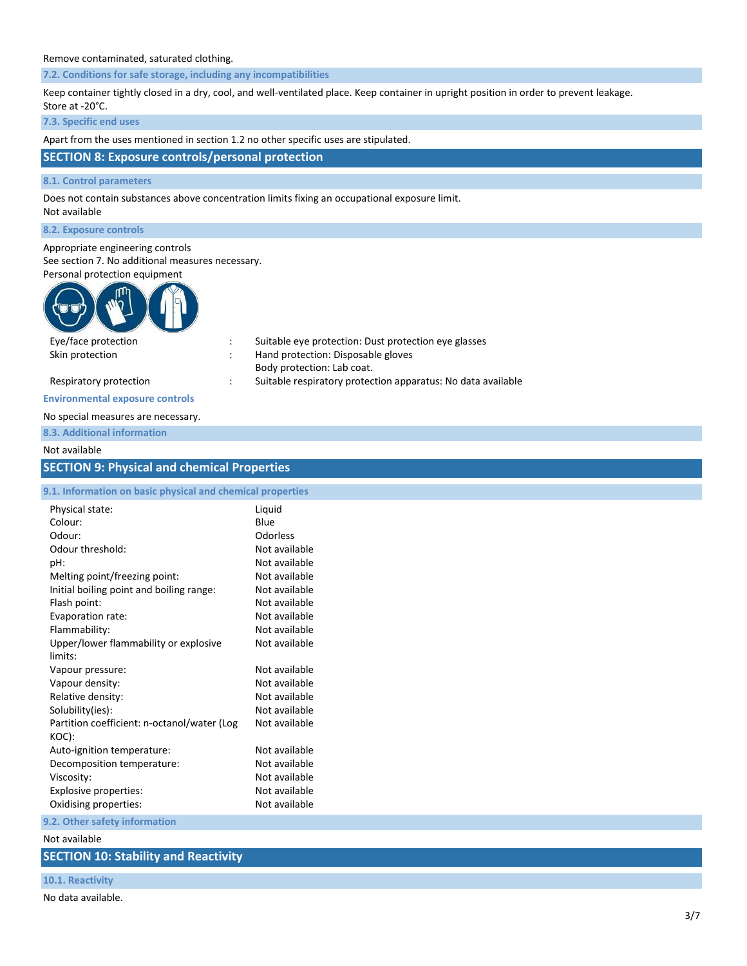#### Remove contaminated, saturated clothing.

**7.2. Conditions for safe storage, including any incompatibilities**

Keep container tightly closed in a dry, cool, and well-ventilated place. Keep container in upright position in order to prevent leakage. Store at -20°C.

**7.3. Specific end uses**

Apart from the uses mentioned in section 1.2 no other specific uses are stipulated.

# **SECTION 8: Exposure controls/personal protection**

#### **8.1. Control parameters**

Does not contain substances above concentration limits fixing an occupational exposure limit. Not available

**8.2. Exposure controls**

# Appropriate engineering controls

See section 7. No additional measures necessary.<br>Recently protection equipment

| Personal protection equipment |
|-------------------------------|
|                               |
| Eve/face protection           |

| Eye/face protection    | Suitable eye protection: Dust protection eye glasses         |
|------------------------|--------------------------------------------------------------|
| Skin protection        | Hand protection: Disposable gloves                           |
|                        | Body protection: Lab coat.                                   |
| Respiratory protection | Suitable respiratory protection apparatus: No data available |
|                        |                                                              |

#### **Environmental exposure controls**

#### No special measures are necessary.

**8.3. Additional information**

#### Not available

# **SECTION 9: Physical and chemical Properties**

| 9.1. Information on basic physical and chemical properties |                 |
|------------------------------------------------------------|-----------------|
| Physical state:                                            | Liquid          |
| Colour:                                                    | Blue            |
| Odour:                                                     | <b>Odorless</b> |
| Odour threshold:                                           | Not available   |
| pH:                                                        | Not available   |
| Melting point/freezing point:                              | Not available   |
| Initial boiling point and boiling range:                   | Not available   |
| Flash point:                                               | Not available   |
| Evaporation rate:                                          | Not available   |
| Flammability:                                              | Not available   |
| Upper/lower flammability or explosive                      | Not available   |
| limits:                                                    |                 |
| Vapour pressure:                                           | Not available   |
| Vapour density:                                            | Not available   |
| Relative density:                                          | Not available   |
| Solubility(ies):                                           | Not available   |
| Partition coefficient: n-octanol/water (Log                | Not available   |
| KOC):                                                      |                 |
| Auto-ignition temperature:                                 | Not available   |
| Decomposition temperature:                                 | Not available   |
| Viscosity:                                                 | Not available   |
| Explosive properties:                                      | Not available   |
| Oxidising properties:                                      | Not available   |

**9.2. Other safety information**

Not available

#### **SECTION 10: Stability and Reactivity**

#### **10.1. Reactivity**

No data available.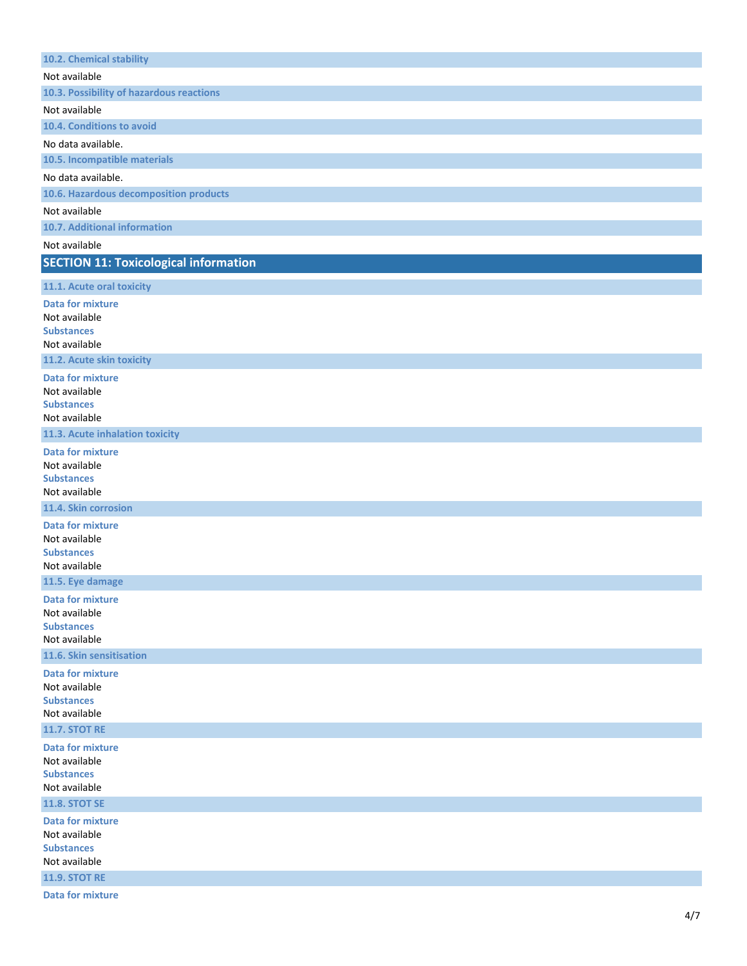| 10.2. Chemical stability                     |
|----------------------------------------------|
| Not available                                |
| 10.3. Possibility of hazardous reactions     |
| Not available                                |
| 10.4. Conditions to avoid                    |
| No data available.                           |
| 10.5. Incompatible materials                 |
| No data available.                           |
| 10.6. Hazardous decomposition products       |
| Not available                                |
| 10.7. Additional information                 |
| Not available                                |
| <b>SECTION 11: Toxicological information</b> |
|                                              |
| 11.1. Acute oral toxicity                    |
| <b>Data for mixture</b>                      |
| Not available<br><b>Substances</b>           |
| Not available                                |
| 11.2. Acute skin toxicity                    |
| <b>Data for mixture</b>                      |
| Not available                                |
| <b>Substances</b>                            |
| Not available                                |
| 11.3. Acute inhalation toxicity              |
| <b>Data for mixture</b>                      |
| Not available<br><b>Substances</b>           |
| Not available                                |
| 11.4. Skin corrosion                         |
| <b>Data for mixture</b>                      |
| Not available                                |
| <b>Substances</b>                            |
| Not available                                |
| 11.5. Eye damage                             |
| <b>Data for mixture</b>                      |
| Not available<br><b>Substances</b>           |
| Not available                                |
| 11.6. Skin sensitisation                     |
| <b>Data for mixture</b>                      |
| Not available                                |
| <b>Substances</b>                            |
| Not available                                |
| <b>11.7. STOT RE</b>                         |
| <b>Data for mixture</b>                      |
| Not available<br><b>Substances</b>           |
| Not available                                |
| <b>11.8. STOT SE</b>                         |
| <b>Data for mixture</b>                      |
| Not available                                |
| <b>Substances</b>                            |
| Not available                                |
| <b>11.9. STOT RE</b>                         |
| <b>Data for mixture</b>                      |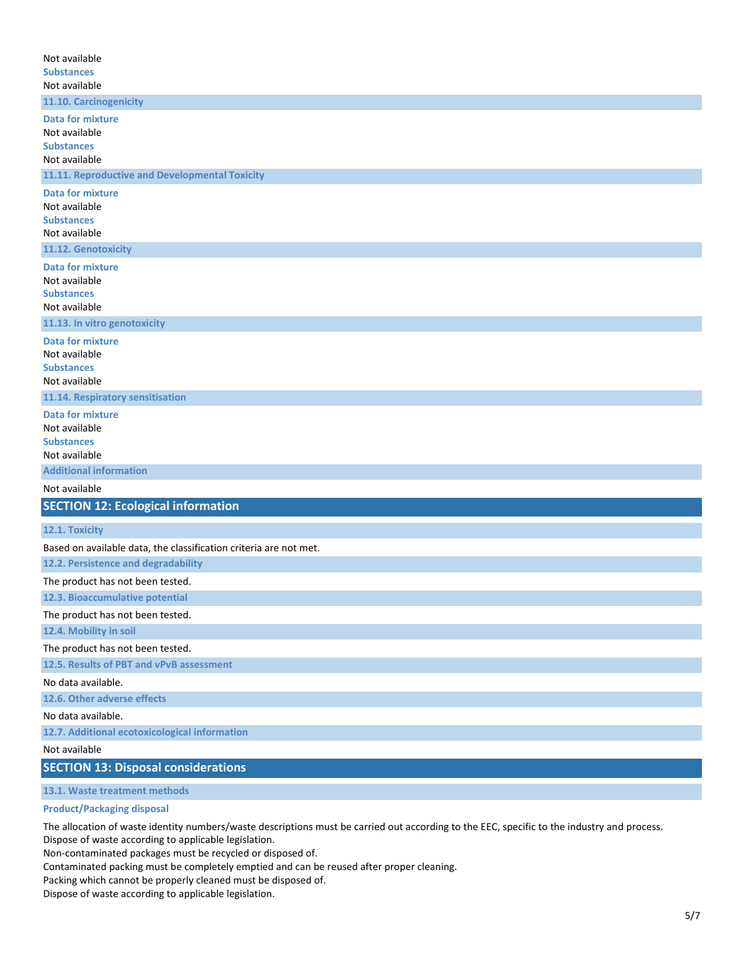| Not available                                                     |
|-------------------------------------------------------------------|
| <b>Substances</b>                                                 |
| Not available                                                     |
| 11.10. Carcinogenicity                                            |
| <b>Data for mixture</b>                                           |
| Not available                                                     |
| <b>Substances</b>                                                 |
| Not available<br>11.11. Reproductive and Developmental Toxicity   |
| <b>Data for mixture</b>                                           |
| Not available                                                     |
| <b>Substances</b>                                                 |
| Not available                                                     |
| 11.12. Genotoxicity                                               |
| <b>Data for mixture</b>                                           |
| Not available                                                     |
| <b>Substances</b><br>Not available                                |
| 11.13. In vitro genotoxicity                                      |
| <b>Data for mixture</b>                                           |
| Not available                                                     |
| <b>Substances</b>                                                 |
| Not available                                                     |
| 11.14. Respiratory sensitisation                                  |
| <b>Data for mixture</b>                                           |
| Not available<br><b>Substances</b>                                |
| Not available                                                     |
| <b>Additional information</b>                                     |
| Not available                                                     |
| <b>SECTION 12: Ecological information</b>                         |
| 12.1. Toxicity                                                    |
| Based on available data, the classification criteria are not met. |
| 12.2. Persistence and degradability                               |
| The product has not been tested.                                  |
| 12.3. Bioaccumulative potential                                   |
| The product has not been tested.                                  |
| 12.4. Mobility in soil                                            |
| The product has not been tested.                                  |
| 12.5. Results of PBT and vPvB assessment                          |
| No data available.                                                |
| 12.6. Other adverse effects                                       |
| No data available.                                                |
| 12.7. Additional ecotoxicological information                     |
| Not available                                                     |
| <b>SECTION 13: Disposal considerations</b>                        |

**13.1. Waste treatment methods**

#### **Product/Packaging disposal**

The allocation of waste identity numbers/waste descriptions must be carried out according to the EEC, specific to the industry and process. Dispose of waste according to applicable legislation.

Non-contaminated packages must be recycled or disposed of.

Contaminated packing must be completely emptied and can be reused after proper cleaning.

Packing which cannot be properly cleaned must be disposed of.

Dispose of waste according to applicable legislation.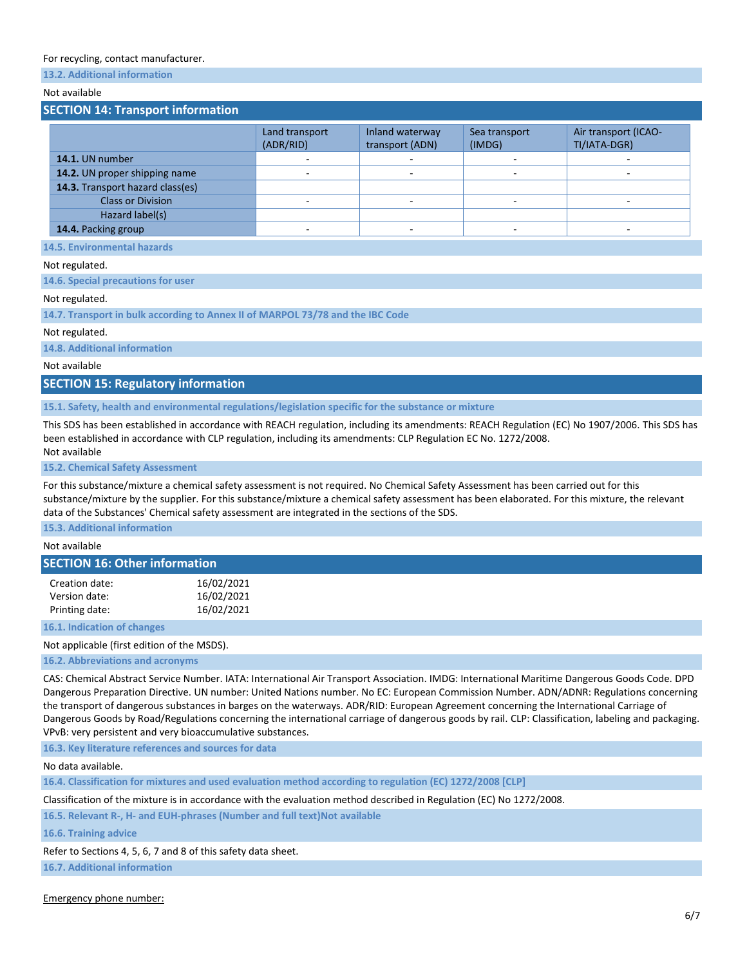#### For recycling, contact manufacturer.

# **13.2. Additional information**

# Not available

#### **SECTION 14: Transport information**

|                                  | Land transport<br>(ADR/RID) | Inland waterway<br>transport (ADN) | Sea transport<br>(IMDG) | Air transport (ICAO-<br>TI/IATA-DGR) |
|----------------------------------|-----------------------------|------------------------------------|-------------------------|--------------------------------------|
| 14.1. UN number                  |                             |                                    |                         |                                      |
| 14.2. UN proper shipping name    |                             |                                    |                         |                                      |
| 14.3. Transport hazard class(es) |                             |                                    |                         |                                      |
| <b>Class or Division</b>         |                             |                                    |                         |                                      |
| Hazard label(s)                  |                             |                                    |                         |                                      |
| 14.4. Packing group              |                             |                                    |                         |                                      |

**14.5. Environmental hazards**

#### Not regulated.

**14.6. Special precautions for user**

#### Not regulated.

**14.7. Transport in bulk according to Annex II of MARPOL 73/78 and the IBC Code**

#### Not regulated.

**14.8. Additional information**

#### Not available

**SECTION 15: Regulatory information**

#### **15.1. Safety, health and environmental regulations/legislation specific for the substance or mixture**

This SDS has been established in accordance with REACH regulation, including its amendments: REACH Regulation (EC) No 1907/2006. This SDS has been established in accordance with CLP regulation, including its amendments: CLP Regulation EC No. 1272/2008. Not available

#### **15.2. Chemical Safety Assessment**

For this substance/mixture a chemical safety assessment is not required. No Chemical Safety Assessment has been carried out for this substance/mixture by the supplier. For this substance/mixture a chemical safety assessment has been elaborated. For this mixture, the relevant data of the Substances' Chemical safety assessment are integrated in the sections of the SDS.

**15.3. Additional information**

Not available

#### **SECTION 16: Other information**

| Creation date: | 16/02/2021 |
|----------------|------------|
| Version date:  | 16/02/2021 |
| Printing date: | 16/02/2021 |

**16.1. Indication of changes**

Not applicable (first edition of the MSDS).

**16.2. Abbreviations and acronyms**

CAS: Chemical Abstract Service Number. IATA: International Air Transport Association. IMDG: International Maritime Dangerous Goods Code. DPD Dangerous Preparation Directive. UN number: United Nations number. No EC: European Commission Number. ADN/ADNR: Regulations concerning the transport of dangerous substances in barges on the waterways. ADR/RID: European Agreement concerning the International Carriage of Dangerous Goods by Road/Regulations concerning the international carriage of dangerous goods by rail. CLP: Classification, labeling and packaging. VPvB: very persistent and very bioaccumulative substances.

**16.3. Key literature references and sources for data**

No data available.

**16.4. Classification for mixtures and used evaluation method according to regulation (EC) 1272/2008 [CLP]**

Classification of the mixture is in accordance with the evaluation method described in Regulation (EC) No 1272/2008.

**16.5. Relevant R-, H- and EUH-phrases (Number and full text)Not available**

**16.6. Training advice**

Refer to Sections 4, 5, 6, 7 and 8 of this safety data sheet.

**16.7. Additional information**

Emergency phone number: